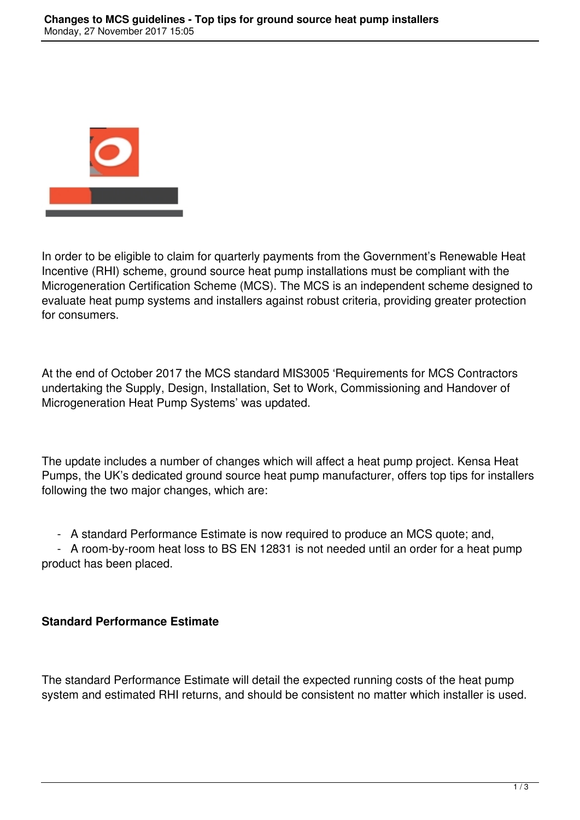

In order to be eligible to claim for quarterly payments from the Government's Renewable Heat Incentive (RHI) scheme, ground source heat pump installations must be compliant with the Microgeneration Certification Scheme (MCS). The MCS is an independent scheme designed to evaluate heat pump systems and installers against robust criteria, providing greater protection for consumers.

At the end of October 2017 the MCS standard MIS3005 'Requirements for MCS Contractors undertaking the Supply, Design, Installation, Set to Work, Commissioning and Handover of Microgeneration Heat Pump Systems' was updated.

The update includes a number of changes which will affect a heat pump project. Kensa Heat Pumps, the UK's dedicated ground source heat pump manufacturer, offers top tips for installers following the two major changes, which are:

- A standard Performance Estimate is now required to produce an MCS quote; and,

 - A room-by-room heat loss to BS EN 12831 is not needed until an order for a heat pump product has been placed.

## **Standard Performance Estimate**

The standard Performance Estimate will detail the expected running costs of the heat pump system and estimated RHI returns, and should be consistent no matter which installer is used.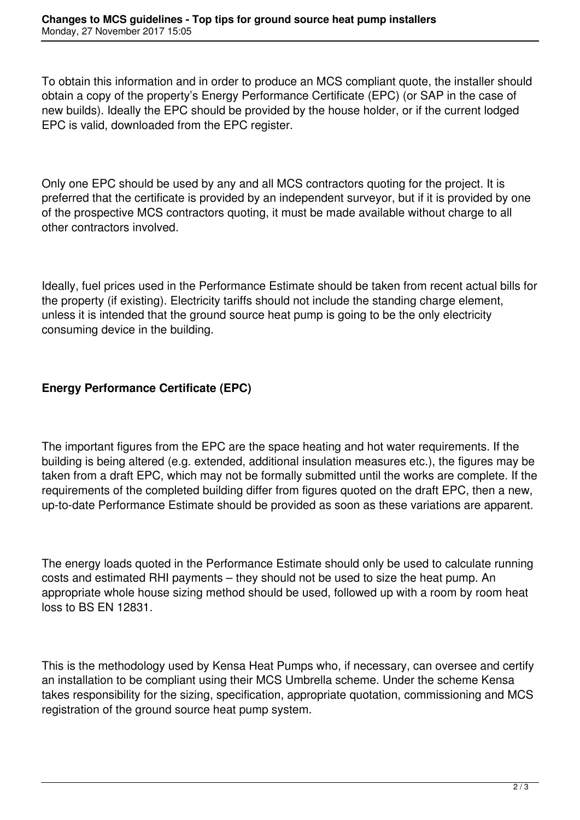To obtain this information and in order to produce an MCS compliant quote, the installer should obtain a copy of the property's Energy Performance Certificate (EPC) (or SAP in the case of new builds). Ideally the EPC should be provided by the house holder, or if the current lodged EPC is valid, downloaded from the EPC register.

Only one EPC should be used by any and all MCS contractors quoting for the project. It is preferred that the certificate is provided by an independent surveyor, but if it is provided by one of the prospective MCS contractors quoting, it must be made available without charge to all other contractors involved.

Ideally, fuel prices used in the Performance Estimate should be taken from recent actual bills for the property (if existing). Electricity tariffs should not include the standing charge element, unless it is intended that the ground source heat pump is going to be the only electricity consuming device in the building.

## **Energy Performance Certificate (EPC)**

The important figures from the EPC are the space heating and hot water requirements. If the building is being altered (e.g. extended, additional insulation measures etc.), the figures may be taken from a draft EPC, which may not be formally submitted until the works are complete. If the requirements of the completed building differ from figures quoted on the draft EPC, then a new, up-to-date Performance Estimate should be provided as soon as these variations are apparent.

The energy loads quoted in the Performance Estimate should only be used to calculate running costs and estimated RHI payments – they should not be used to size the heat pump. An appropriate whole house sizing method should be used, followed up with a room by room heat loss to BS EN 12831.

This is the methodology used by Kensa Heat Pumps who, if necessary, can oversee and certify an installation to be compliant using their MCS Umbrella scheme. Under the scheme Kensa takes responsibility for the sizing, specification, appropriate quotation, commissioning and MCS registration of the ground source heat pump system.